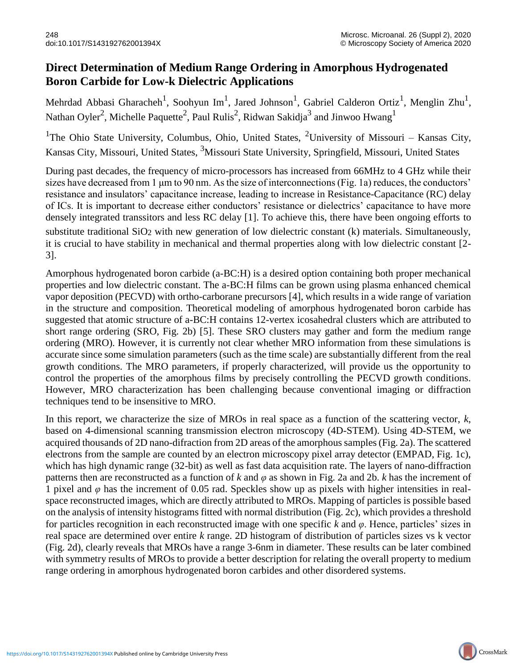## **Direct Determination of Medium Range Ordering in Amorphous Hydrogenated Boron Carbide for Low-k Dielectric Applications**

Mehrdad Abbasi Gharacheh<sup>1</sup>, Soohyun Im<sup>1</sup>, Jared Johnson<sup>1</sup>, Gabriel Calderon Ortiz<sup>1</sup>, Menglin Zhu<sup>1</sup>, Nathan Oyler<sup>2</sup>, Michelle Paquette<sup>2</sup>, Paul Rulis<sup>2</sup>, Ridwan Sakidja<sup>3</sup> and Jinwoo Hwang<sup>1</sup>

<sup>1</sup>The Ohio State University, Columbus, Ohio, United States, <sup>2</sup>University of Missouri – Kansas City, Kansas City, Missouri, United States, 3Missouri State University, Springfield, Missouri, United States

During past decades, the frequency of micro-processors has increased from 66MHz to 4 GHz while their sizes have decreased from 1 μm to 90 nm. As the size of interconnections (Fig. 1a) reduces, the conductors' resistance and insulators' capacitance increase, leading to increase in Resistance-Capacitance (RC) delay of ICs. It is important to decrease either conductors' resistance or dielectrics' capacitance to have more densely integrated transsitors and less RC delay [1]. To achieve this, there have been ongoing efforts to substitute traditional SiO<sub>2</sub> with new generation of low dielectric constant (k) materials. Simultaneously, it is crucial to have stability in mechanical and thermal properties along with low dielectric constant [2- 3].

Amorphous hydrogenated boron carbide (a-BC:H) is a desired option containing both proper mechanical properties and low dielectric constant. The a-BC:H films can be grown using plasma enhanced chemical vapor deposition (PECVD) with ortho-carborane precursors [4], which results in a wide range of variation in the structure and composition. Theoretical modeling of amorphous hydrogenated boron carbide has suggested that atomic structure of a-BC:H contains 12-vertex icosahedral clusters which are attributed to short range ordering (SRO, Fig. 2b) [5]. These SRO clusters may gather and form the medium range ordering (MRO). However, it is currently not clear whether MRO information from these simulations is accurate since some simulation parameters (such as the time scale) are substantially different from the real growth conditions. The MRO parameters, if properly characterized, will provide us the opportunity to control the properties of the amorphous films by precisely controlling the PECVD growth conditions. However, MRO characterization has been challenging because conventional imaging or diffraction techniques tend to be insensitive to MRO.

In this report, we characterize the size of MROs in real space as a function of the scattering vector, *k*, based on 4-dimensional scanning transmission electron microscopy (4D-STEM). Using 4D-STEM, we acquired thousands of 2D nano-difraction from 2D areas of the amorphous samples (Fig. 2a). The scattered electrons from the sample are counted by an electron microscopy pixel array detector (EMPAD, Fig. 1c), which has high dynamic range (32-bit) as well as fast data acquisition rate. The layers of nano-diffraction patterns then are reconstructed as a function of *k* and *φ* as shown in Fig. 2a and 2b. *k* has the increment of 1 pixel and  $\varphi$  has the increment of 0.05 rad. Speckles show up as pixels with higher intensities in realspace reconstructed images, which are directly attributed to MROs. Mapping of particles is possible based on the analysis of intensity histograms fitted with normal distribution (Fig. 2c), which provides a threshold for particles recognition in each reconstructed image with one specific *k* and *φ*. Hence, particles' sizes in real space are determined over entire *k* range. 2D histogram of distribution of particles sizes vs k vector (Fig. 2d), clearly reveals that MROs have a range 3-6nm in diameter. These results can be later combined with symmetry results of MROs to provide a better description for relating the overall property to medium range ordering in amorphous hydrogenated boron carbides and other disordered systems.